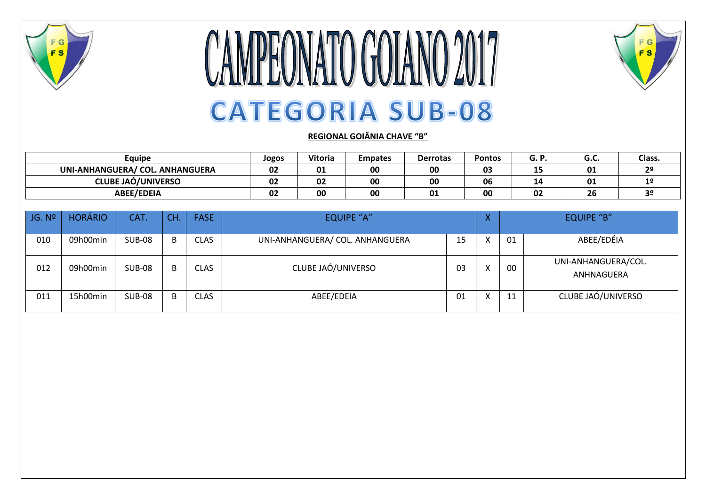

## CAMPEONATO GOIANO 2017 **CATEGORIA SUB-08**



## **REGIONAL GOIÂNIA CHAVE "B"**

| Equipe                          | Jogos | Vitoria | <b>Empates</b> | <b>Derrotas</b> | Pontos |     | u.c. | Class. |
|---------------------------------|-------|---------|----------------|-----------------|--------|-----|------|--------|
| UNI-ANHANGUERA/ COL. ANHANGUERA | 02    | 01      | 00             | 00              | 03     | --- | 01   | 20     |
| <b>CLUBE JAÓ/UNIVERSO</b>       | 02    | 02      | 00             | 00              | 06     | 14  | 01   |        |
| <b>ABEE/EDEIA</b>               | 02    | 00      | 00             | 01              | 00     | 02  | 26   |        |

| JG. N <sup>o</sup> | <b>HORÁRIO</b> | CAT.          | CH. | <b>FASE</b> | <b>EQUIPE "A"</b>               |    |  |    | <b>EQUIPE "B"</b>                 |  |  |
|--------------------|----------------|---------------|-----|-------------|---------------------------------|----|--|----|-----------------------------------|--|--|
| 010                | 09h00min       | <b>SUB-08</b> | B   | <b>CLAS</b> | UNI-ANHANGUERA/ COL. ANHANGUERA | 15 |  | 01 | ABEE/EDÉIA                        |  |  |
| 012                | 09h00min       | <b>SUB-08</b> | B   | CLAS        | CLUBE JAÓ/UNIVERSO              | 03 |  | 00 | UNI-ANHANGUERA/COL.<br>ANHNAGUERA |  |  |
| 011                | 15h00min       | <b>SUB-08</b> | D   | <b>CLAS</b> | ABEE/EDEIA                      | 01 |  | 11 | CLUBE JAÓ/UNIVERSO                |  |  |